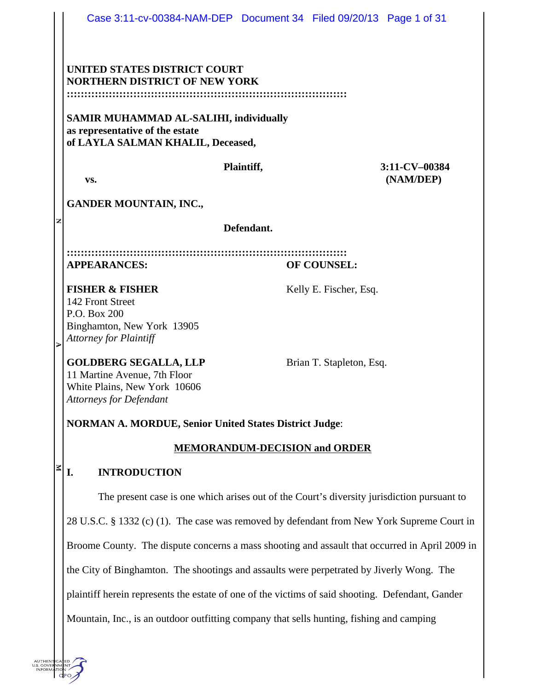|                                                                                                | Case 3:11-cv-00384-NAM-DEP Document 34 Filed 09/20/13 Page 1 of 31                                                                                                                           |                                      |                          |                            |
|------------------------------------------------------------------------------------------------|----------------------------------------------------------------------------------------------------------------------------------------------------------------------------------------------|--------------------------------------|--------------------------|----------------------------|
|                                                                                                | UNITED STATES DISTRICT COURT<br><b>NORTHERN DISTRICT OF NEW YORK</b><br><b>SAMIR MUHAMMAD AL-SALIHI, individually</b><br>as representative of the estate                                     |                                      |                          |                            |
|                                                                                                | of LAYLA SALMAN KHALIL, Deceased,<br>VS.                                                                                                                                                     | Plaintiff,                           |                          | 3:11-CV-00384<br>(NAM/DEP) |
|                                                                                                | <b>GANDER MOUNTAIN, INC.,</b>                                                                                                                                                                |                                      |                          |                            |
| z                                                                                              | Defendant.                                                                                                                                                                                   |                                      |                          |                            |
|                                                                                                | <b>APPEARANCES:</b><br>OF COUNSEL:                                                                                                                                                           |                                      |                          |                            |
| $\triangleright$                                                                               | <b>FISHER &amp; FISHER</b><br>142 Front Street<br>P.O. Box 200<br>Binghamton, New York 13905<br><b>Attorney for Plaintiff</b>                                                                |                                      | Kelly E. Fischer, Esq.   |                            |
|                                                                                                | <b>GOLDBERG SEGALLA, LLP</b><br>11 Martine Avenue, 7th Floor<br>White Plains, New York 10606<br>Attorneys for Defendant                                                                      |                                      | Brian T. Stapleton, Esq. |                            |
| <b>NORMAN A. MORDUE, Senior United States District Judge:</b>                                  |                                                                                                                                                                                              |                                      |                          |                            |
|                                                                                                |                                                                                                                                                                                              | <b>MEMORANDUM-DECISION and ORDER</b> |                          |                            |
| $\blacksquare$                                                                                 | <b>INTRODUCTION</b><br>I.                                                                                                                                                                    |                                      |                          |                            |
|                                                                                                | The present case is one which arises out of the Court's diversity jurisdiction pursuant to                                                                                                   |                                      |                          |                            |
|                                                                                                | 28 U.S.C. § 1332 (c) (1). The case was removed by defendant from New York Supreme Court in                                                                                                   |                                      |                          |                            |
| Broome County. The dispute concerns a mass shooting and assault that occurred in April 2009 in |                                                                                                                                                                                              |                                      |                          |                            |
|                                                                                                | the City of Binghamton. The shootings and assaults were perpetrated by Jiverly Wong. The<br>plaintiff herein represents the estate of one of the victims of said shooting. Defendant, Gander |                                      |                          |                            |
|                                                                                                |                                                                                                                                                                                              |                                      |                          |                            |
|                                                                                                | Mountain, Inc., is an outdoor outfitting company that sells hunting, fishing and camping                                                                                                     |                                      |                          |                            |

AUTHENTICATED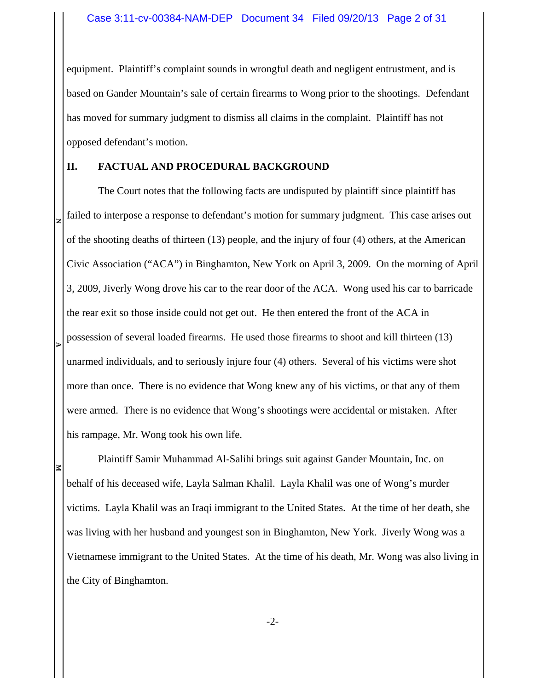equipment. Plaintiff's complaint sounds in wrongful death and negligent entrustment, and is based on Gander Mountain's sale of certain firearms to Wong prior to the shootings. Defendant has moved for summary judgment to dismiss all claims in the complaint. Plaintiff has not opposed defendant's motion.

### **II. FACTUAL AND PROCEDURAL BACKGROUND**

**NEXECUTE 2** The Court notes that the following facts are undisputed by plaintiff since plaintiff has failed to interpose a response to defendant's motion for summary judgment. This case arises out of the shooting deaths of thirteen (13) people, and the injury of four (4) others, at the American Civic Association ("ACA") in Binghamton, New York on April 3, 2009. On the morning of April 3, 2009, Jiverly Wong drove his car to the rear door of the ACA. Wong used his car to barricade the rear exit so those inside could not get out. He then entered the front of the ACA in possession of several loaded firearms. He used those firearms to shoot and kill thirteen (13) unarmed individuals, and to seriously injure four (4) others. Several of his victims were shot more than once. There is no evidence that Wong knew any of his victims, or that any of them were armed. There is no evidence that Wong's shootings were accidental or mistaken. After his rampage, Mr. Wong took his own life.

Plaintiff Samir Muhammad Al-Salihi brings suit against Gander Mountain, Inc. on behalf of his deceased wife, Layla Salman Khalil. Layla Khalil was one of Wong's murder victims. Layla Khalil was an Iraqi immigrant to the United States. At the time of her death, she was living with her husband and youngest son in Binghamton, New York. Jiverly Wong was a Vietnamese immigrant to the United States. At the time of his death, Mr. Wong was also living in the City of Binghamton.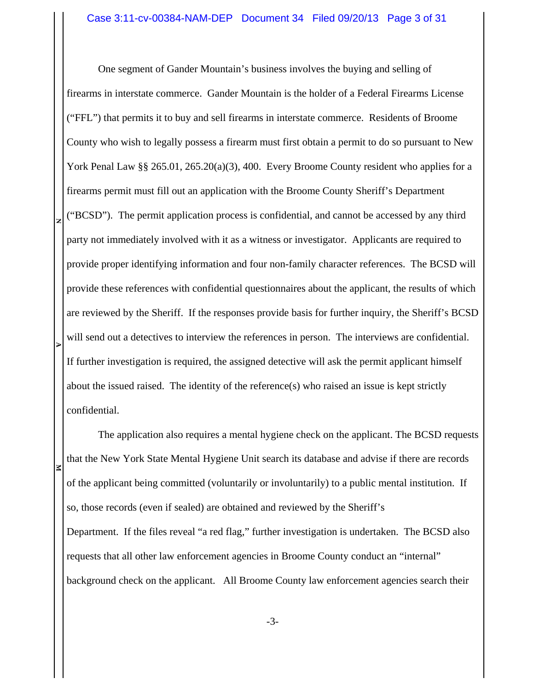One segment of Gander Mountain's business involves the buying and selling of firearms in interstate commerce. Gander Mountain is the holder of a Federal Firearms License ("FFL") that permits it to buy and sell firearms in interstate commerce. Residents of Broome County who wish to legally possess a firearm must first obtain a permit to do so pursuant to New York Penal Law §§ 265.01, 265.20(a)(3), 400. Every Broome County resident who applies for a firearms permit must fill out an application with the Broome County Sheriff's Department ("BCSD"). The permit application process is confidential, and cannot be accessed by any third party not immediately involved with it as a witness or investigator. Applicants are required to provide proper identifying information and four non-family character references. The BCSD will provide these references with confidential questionnaires about the applicant, the results of which are reviewed by the Sheriff. If the responses provide basis for further inquiry, the Sheriff's BCSD will send out a detectives to interview the references in person. The interviews are confidential. If further investigation is required, the assigned detective will ask the permit applicant himself about the issued raised. The identity of the reference(s) who raised an issue is kept strictly confidential.

**N**

**EXECUTE 2** 

The application also requires a mental hygiene check on the applicant. The BCSD requests that the New York State Mental Hygiene Unit search its database and advise if there are records of the applicant being committed (voluntarily or involuntarily) to a public mental institution. If so, those records (even if sealed) are obtained and reviewed by the Sheriff's Department. If the files reveal "a red flag," further investigation is undertaken. The BCSD also requests that all other law enforcement agencies in Broome County conduct an "internal" background check on the applicant. All Broome County law enforcement agencies search their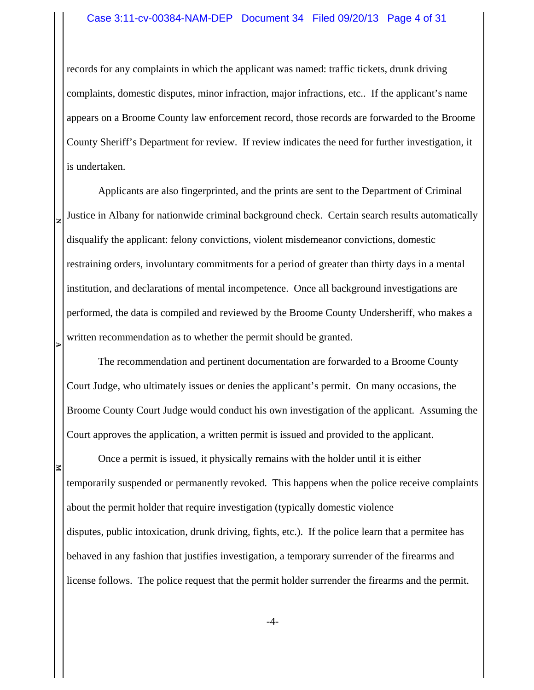### Case 3:11-cv-00384-NAM-DEP Document 34 Filed 09/20/13 Page 4 of 31

records for any complaints in which the applicant was named: traffic tickets, drunk driving complaints, domestic disputes, minor infraction, major infractions, etc.. If the applicant's name appears on a Broome County law enforcement record, those records are forwarded to the Broome County Sheriff's Department for review. If review indicates the need for further investigation, it is undertaken.

**NEXECUTE 2** Applicants are also fingerprinted, and the prints are sent to the Department of Criminal Justice in Albany for nationwide criminal background check. Certain search results automatically disqualify the applicant: felony convictions, violent misdemeanor convictions, domestic restraining orders, involuntary commitments for a period of greater than thirty days in a mental institution, and declarations of mental incompetence. Once all background investigations are performed, the data is compiled and reviewed by the Broome County Undersheriff, who makes a written recommendation as to whether the permit should be granted.

The recommendation and pertinent documentation are forwarded to a Broome County Court Judge, who ultimately issues or denies the applicant's permit. On many occasions, the Broome County Court Judge would conduct his own investigation of the applicant. Assuming the Court approves the application, a written permit is issued and provided to the applicant.

Once a permit is issued, it physically remains with the holder until it is either temporarily suspended or permanently revoked. This happens when the police receive complaints about the permit holder that require investigation (typically domestic violence disputes, public intoxication, drunk driving, fights, etc.). If the police learn that a permitee has behaved in any fashion that justifies investigation, a temporary surrender of the firearms and license follows. The police request that the permit holder surrender the firearms and the permit.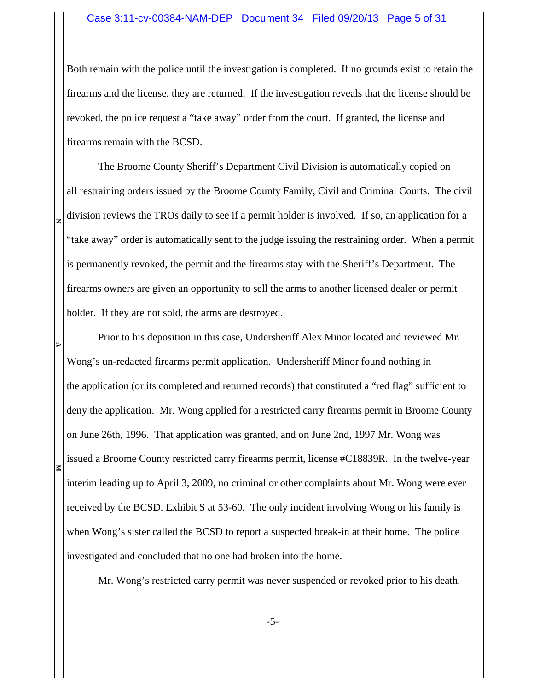### Case 3:11-cv-00384-NAM-DEP Document 34 Filed 09/20/13 Page 5 of 31

Both remain with the police until the investigation is completed. If no grounds exist to retain the firearms and the license, they are returned. If the investigation reveals that the license should be revoked, the police request a "take away" order from the court. If granted, the license and firearms remain with the BCSD.

The Broome County Sheriff's Department Civil Division is automatically copied on all restraining orders issued by the Broome County Family, Civil and Criminal Courts. The civil division reviews the TROs daily to see if a permit holder is involved. If so, an application for a "take away" order is automatically sent to the judge issuing the restraining order. When a permit is permanently revoked, the permit and the firearms stay with the Sheriff's Department. The firearms owners are given an opportunity to sell the arms to another licensed dealer or permit holder. If they are not sold, the arms are destroyed.

**N**

**EXECUTE 2** 

Prior to his deposition in this case, Undersheriff Alex Minor located and reviewed Mr. Wong's un-redacted firearms permit application. Undersheriff Minor found nothing in the application (or its completed and returned records) that constituted a "red flag" sufficient to deny the application. Mr. Wong applied for a restricted carry firearms permit in Broome County on June 26th, 1996. That application was granted, and on June 2nd, 1997 Mr. Wong was issued a Broome County restricted carry firearms permit, license #C18839R. In the twelve-year interim leading up to April 3, 2009, no criminal or other complaints about Mr. Wong were ever received by the BCSD. Exhibit S at 53-60. The only incident involving Wong or his family is when Wong's sister called the BCSD to report a suspected break-in at their home. The police investigated and concluded that no one had broken into the home.

Mr. Wong's restricted carry permit was never suspended or revoked prior to his death.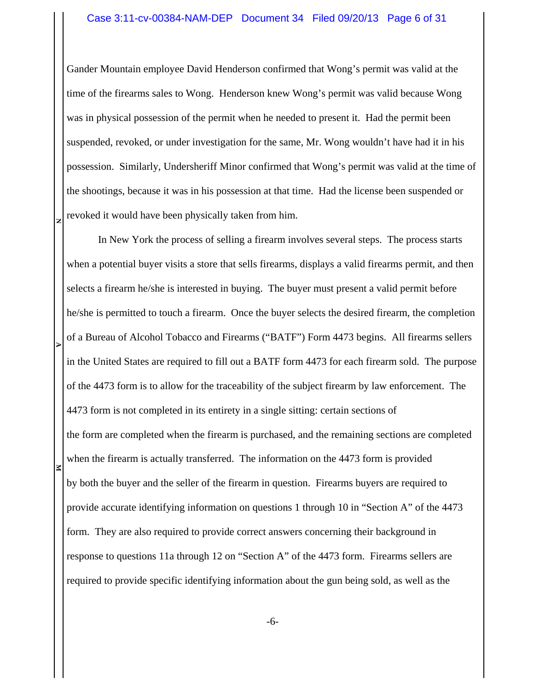Gander Mountain employee David Henderson confirmed that Wong's permit was valid at the time of the firearms sales to Wong. Henderson knew Wong's permit was valid because Wong was in physical possession of the permit when he needed to present it. Had the permit been suspended, revoked, or under investigation for the same, Mr. Wong wouldn't have had it in his possession. Similarly, Undersheriff Minor confirmed that Wong's permit was valid at the time of the shootings, because it was in his possession at that time. Had the license been suspended or revoked it would have been physically taken from him.

**N**

**EXECUTE 2** 

In New York the process of selling a firearm involves several steps. The process starts when a potential buyer visits a store that sells firearms, displays a valid firearms permit, and then selects a firearm he/she is interested in buying. The buyer must present a valid permit before he/she is permitted to touch a firearm. Once the buyer selects the desired firearm, the completion of a Bureau of Alcohol Tobacco and Firearms ("BATF") Form 4473 begins. All firearms sellers in the United States are required to fill out a BATF form 4473 for each firearm sold. The purpose of the 4473 form is to allow for the traceability of the subject firearm by law enforcement. The 4473 form is not completed in its entirety in a single sitting: certain sections of the form are completed when the firearm is purchased, and the remaining sections are completed when the firearm is actually transferred. The information on the 4473 form is provided by both the buyer and the seller of the firearm in question. Firearms buyers are required to provide accurate identifying information on questions 1 through 10 in "Section A" of the 4473 form. They are also required to provide correct answers concerning their background in response to questions 11a through 12 on "Section A" of the 4473 form. Firearms sellers are required to provide specific identifying information about the gun being sold, as well as the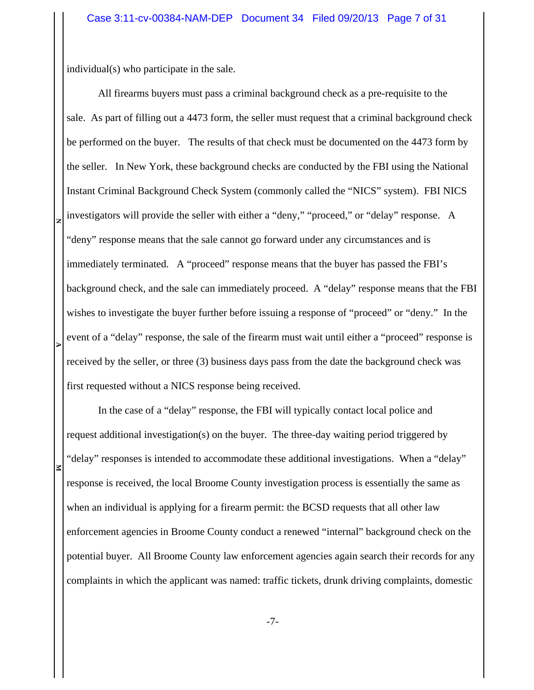individual(s) who participate in the sale.

**N**

**EXECUTE 2** All firearms buyers must pass a criminal background check as a pre-requisite to the sale. As part of filling out a 4473 form, the seller must request that a criminal background check be performed on the buyer. The results of that check must be documented on the 4473 form by the seller. In New York, these background checks are conducted by the FBI using the National Instant Criminal Background Check System (commonly called the "NICS" system). FBI NICS investigators will provide the seller with either a "deny," "proceed," or "delay" response. A "deny" response means that the sale cannot go forward under any circumstances and is immediately terminated. A "proceed" response means that the buyer has passed the FBI's background check, and the sale can immediately proceed. A "delay" response means that the FBI wishes to investigate the buyer further before issuing a response of "proceed" or "deny." In the event of a "delay" response, the sale of the firearm must wait until either a "proceed" response is received by the seller, or three (3) business days pass from the date the background check was first requested without a NICS response being received.

In the case of a "delay" response, the FBI will typically contact local police and request additional investigation(s) on the buyer. The three-day waiting period triggered by "delay" responses is intended to accommodate these additional investigations. When a "delay" response is received, the local Broome County investigation process is essentially the same as when an individual is applying for a firearm permit: the BCSD requests that all other law enforcement agencies in Broome County conduct a renewed "internal" background check on the potential buyer. All Broome County law enforcement agencies again search their records for any complaints in which the applicant was named: traffic tickets, drunk driving complaints, domestic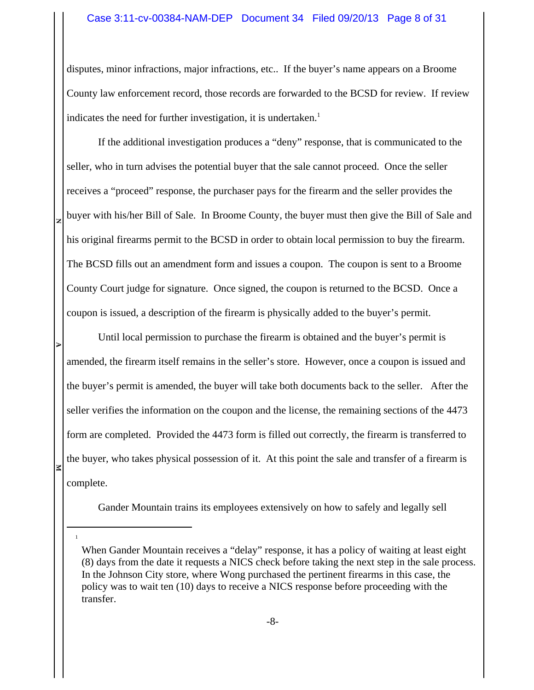### Case 3:11-cv-00384-NAM-DEP Document 34 Filed 09/20/13 Page 8 of 31

disputes, minor infractions, major infractions, etc.. If the buyer's name appears on a Broome County law enforcement record, those records are forwarded to the BCSD for review. If review indicates the need for further investigation, it is undertaken.<sup>1</sup>

If the additional investigation produces a "deny" response, that is communicated to the seller, who in turn advises the potential buyer that the sale cannot proceed. Once the seller receives a "proceed" response, the purchaser pays for the firearm and the seller provides the buyer with his/her Bill of Sale. In Broome County, the buyer must then give the Bill of Sale and his original firearms permit to the BCSD in order to obtain local permission to buy the firearm. The BCSD fills out an amendment form and issues a coupon. The coupon is sent to a Broome County Court judge for signature. Once signed, the coupon is returned to the BCSD. Once a coupon is issued, a description of the firearm is physically added to the buyer's permit.

**N**

**EXECUTE 2** 

1

Until local permission to purchase the firearm is obtained and the buyer's permit is amended, the firearm itself remains in the seller's store. However, once a coupon is issued and the buyer's permit is amended, the buyer will take both documents back to the seller. After the seller verifies the information on the coupon and the license, the remaining sections of the 4473 form are completed. Provided the 4473 form is filled out correctly, the firearm is transferred to the buyer, who takes physical possession of it. At this point the sale and transfer of a firearm is complete.

Gander Mountain trains its employees extensively on how to safely and legally sell

When Gander Mountain receives a "delay" response, it has a policy of waiting at least eight (8) days from the date it requests a NICS check before taking the next step in the sale process. In the Johnson City store, where Wong purchased the pertinent firearms in this case, the policy was to wait ten (10) days to receive a NICS response before proceeding with the transfer.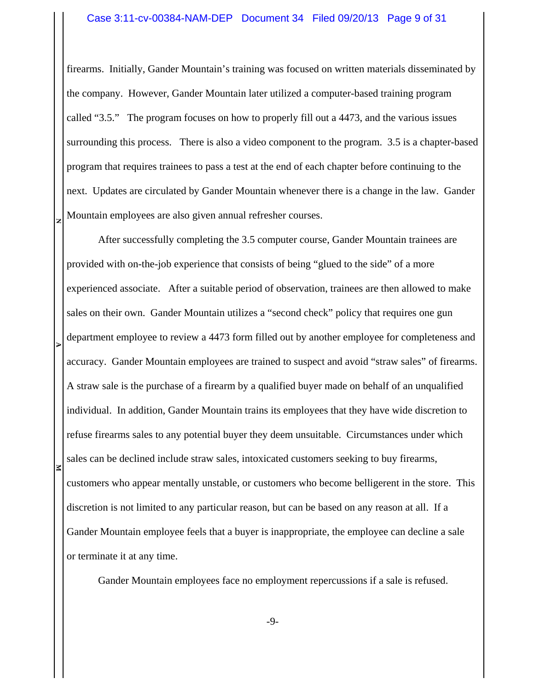### Case 3:11-cv-00384-NAM-DEP Document 34 Filed 09/20/13 Page 9 of 31

firearms. Initially, Gander Mountain's training was focused on written materials disseminated by the company. However, Gander Mountain later utilized a computer-based training program called "3.5." The program focuses on how to properly fill out a 4473, and the various issues surrounding this process. There is also a video component to the program. 3.5 is a chapter-based program that requires trainees to pass a test at the end of each chapter before continuing to the next. Updates are circulated by Gander Mountain whenever there is a change in the law. Gander Mountain employees are also given annual refresher courses.

**N**

**EXECUTE 2** 

After successfully completing the 3.5 computer course, Gander Mountain trainees are provided with on-the-job experience that consists of being "glued to the side" of a more experienced associate. After a suitable period of observation, trainees are then allowed to make sales on their own. Gander Mountain utilizes a "second check" policy that requires one gun department employee to review a 4473 form filled out by another employee for completeness and accuracy. Gander Mountain employees are trained to suspect and avoid "straw sales" of firearms. A straw sale is the purchase of a firearm by a qualified buyer made on behalf of an unqualified individual. In addition, Gander Mountain trains its employees that they have wide discretion to refuse firearms sales to any potential buyer they deem unsuitable. Circumstances under which sales can be declined include straw sales, intoxicated customers seeking to buy firearms, customers who appear mentally unstable, or customers who become belligerent in the store. This discretion is not limited to any particular reason, but can be based on any reason at all. If a Gander Mountain employee feels that a buyer is inappropriate, the employee can decline a sale or terminate it at any time.

Gander Mountain employees face no employment repercussions if a sale is refused.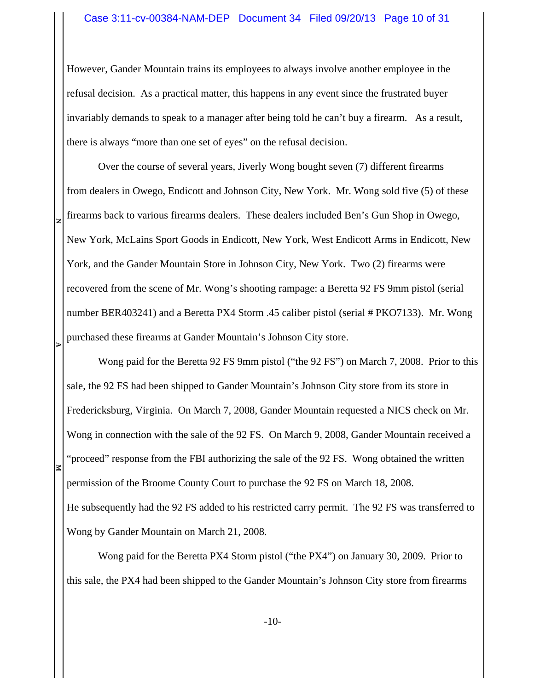However, Gander Mountain trains its employees to always involve another employee in the refusal decision. As a practical matter, this happens in any event since the frustrated buyer invariably demands to speak to a manager after being told he can't buy a firearm. As a result, there is always "more than one set of eyes" on the refusal decision.

Over the course of several years, Jiverly Wong bought seven (7) different firearms from dealers in Owego, Endicott and Johnson City, New York. Mr. Wong sold five (5) of these firearms back to various firearms dealers. These dealers included Ben's Gun Shop in Owego, New York, McLains Sport Goods in Endicott, New York, West Endicott Arms in Endicott, New York, and the Gander Mountain Store in Johnson City, New York. Two (2) firearms were recovered from the scene of Mr. Wong's shooting rampage: a Beretta 92 FS 9mm pistol (serial number BER403241) and a Beretta PX4 Storm .45 caliber pistol (serial # PKO7133). Mr. Wong purchased these firearms at Gander Mountain's Johnson City store.

**N**

**EXECUTE 2** 

Wong paid for the Beretta 92 FS 9mm pistol ("the 92 FS") on March 7, 2008. Prior to this sale, the 92 FS had been shipped to Gander Mountain's Johnson City store from its store in Fredericksburg, Virginia. On March 7, 2008, Gander Mountain requested a NICS check on Mr. Wong in connection with the sale of the 92 FS. On March 9, 2008, Gander Mountain received a "proceed" response from the FBI authorizing the sale of the 92 FS. Wong obtained the written permission of the Broome County Court to purchase the 92 FS on March 18, 2008. He subsequently had the 92 FS added to his restricted carry permit. The 92 FS was transferred to Wong by Gander Mountain on March 21, 2008.

Wong paid for the Beretta PX4 Storm pistol ("the PX4") on January 30, 2009. Prior to this sale, the PX4 had been shipped to the Gander Mountain's Johnson City store from firearms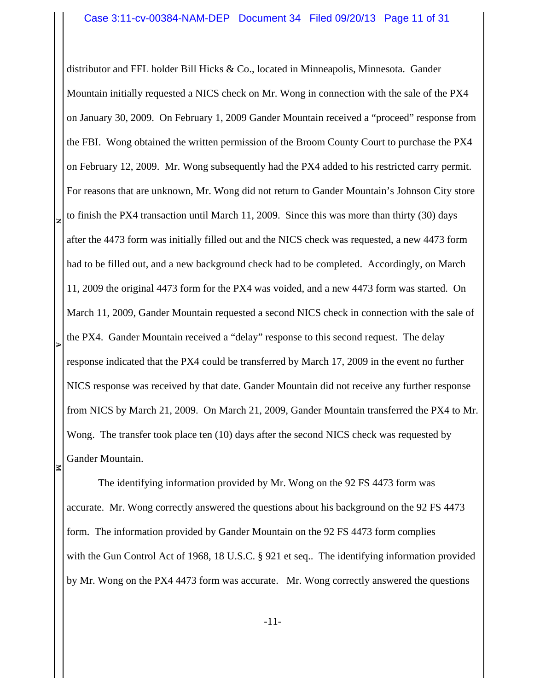distributor and FFL holder Bill Hicks & Co., located in Minneapolis, Minnesota. Gander Mountain initially requested a NICS check on Mr. Wong in connection with the sale of the PX4 on January 30, 2009. On February 1, 2009 Gander Mountain received a "proceed" response from the FBI. Wong obtained the written permission of the Broom County Court to purchase the PX4 on February 12, 2009. Mr. Wong subsequently had the PX4 added to his restricted carry permit. For reasons that are unknown, Mr. Wong did not return to Gander Mountain's Johnson City store to finish the PX4 transaction until March 11, 2009. Since this was more than thirty (30) days after the 4473 form was initially filled out and the NICS check was requested, a new 4473 form had to be filled out, and a new background check had to be completed. Accordingly, on March 11, 2009 the original 4473 form for the PX4 was voided, and a new 4473 form was started. On March 11, 2009, Gander Mountain requested a second NICS check in connection with the sale of the PX4. Gander Mountain received a "delay" response to this second request. The delay response indicated that the PX4 could be transferred by March 17, 2009 in the event no further NICS response was received by that date. Gander Mountain did not receive any further response from NICS by March 21, 2009. On March 21, 2009, Gander Mountain transferred the PX4 to Mr. Wong. The transfer took place ten (10) days after the second NICS check was requested by Gander Mountain.

**N**

**EXECUTE 2** 

The identifying information provided by Mr. Wong on the 92 FS 4473 form was accurate. Mr. Wong correctly answered the questions about his background on the 92 FS 4473 form. The information provided by Gander Mountain on the 92 FS 4473 form complies with the Gun Control Act of 1968, 18 U.S.C. § 921 et seq.. The identifying information provided by Mr. Wong on the PX4 4473 form was accurate. Mr. Wong correctly answered the questions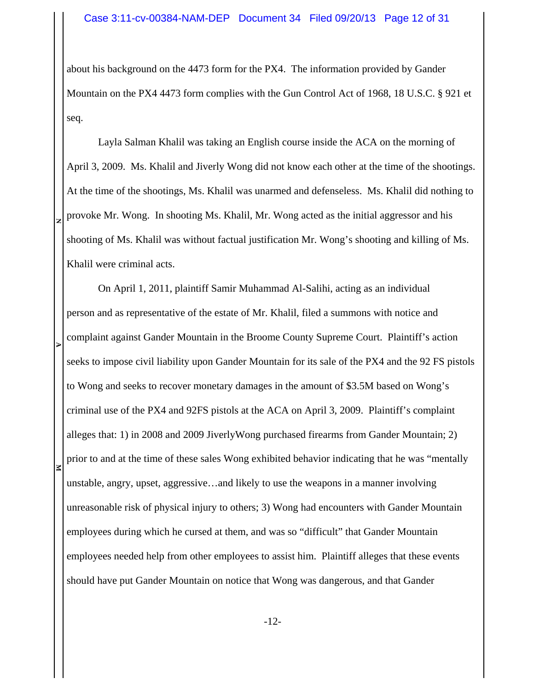about his background on the 4473 form for the PX4. The information provided by Gander Mountain on the PX4 4473 form complies with the Gun Control Act of 1968, 18 U.S.C. § 921 et seq.

Layla Salman Khalil was taking an English course inside the ACA on the morning of April 3, 2009. Ms. Khalil and Jiverly Wong did not know each other at the time of the shootings. At the time of the shootings, Ms. Khalil was unarmed and defenseless. Ms. Khalil did nothing to provoke Mr. Wong. In shooting Ms. Khalil, Mr. Wong acted as the initial aggressor and his shooting of Ms. Khalil was without factual justification Mr. Wong's shooting and killing of Ms. Khalil were criminal acts.

**N**

**EXECUTE 2** On April 1, 2011, plaintiff Samir Muhammad Al-Salihi, acting as an individual person and as representative of the estate of Mr. Khalil, filed a summons with notice and complaint against Gander Mountain in the Broome County Supreme Court. Plaintiff's action seeks to impose civil liability upon Gander Mountain for its sale of the PX4 and the 92 FS pistols to Wong and seeks to recover monetary damages in the amount of \$3.5M based on Wong's criminal use of the PX4 and 92FS pistols at the ACA on April 3, 2009. Plaintiff's complaint alleges that: 1) in 2008 and 2009 JiverlyWong purchased firearms from Gander Mountain; 2) prior to and at the time of these sales Wong exhibited behavior indicating that he was "mentally unstable, angry, upset, aggressive…and likely to use the weapons in a manner involving unreasonable risk of physical injury to others; 3) Wong had encounters with Gander Mountain employees during which he cursed at them, and was so "difficult" that Gander Mountain employees needed help from other employees to assist him. Plaintiff alleges that these events should have put Gander Mountain on notice that Wong was dangerous, and that Gander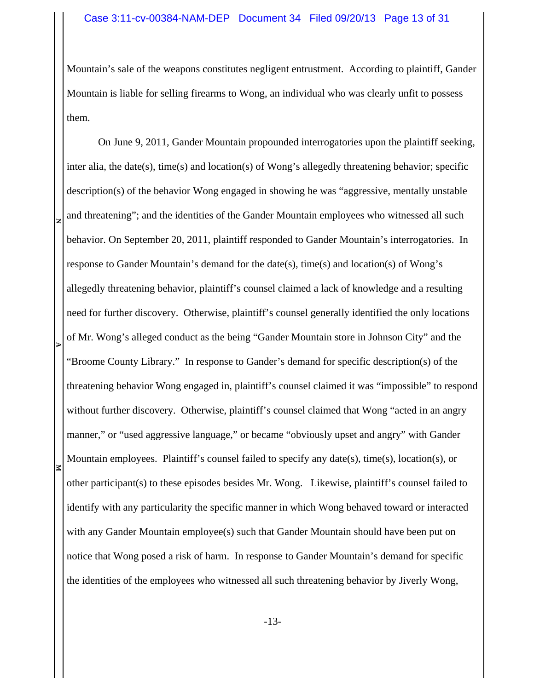Mountain's sale of the weapons constitutes negligent entrustment. According to plaintiff, Gander Mountain is liable for selling firearms to Wong, an individual who was clearly unfit to possess them.

**NEXECUTE 2** On June 9, 2011, Gander Mountain propounded interrogatories upon the plaintiff seeking, inter alia, the date(s), time(s) and location(s) of Wong's allegedly threatening behavior; specific description(s) of the behavior Wong engaged in showing he was "aggressive, mentally unstable and threatening"; and the identities of the Gander Mountain employees who witnessed all such behavior. On September 20, 2011, plaintiff responded to Gander Mountain's interrogatories. In response to Gander Mountain's demand for the date(s), time(s) and location(s) of Wong's allegedly threatening behavior, plaintiff's counsel claimed a lack of knowledge and a resulting need for further discovery. Otherwise, plaintiff's counsel generally identified the only locations of Mr. Wong's alleged conduct as the being "Gander Mountain store in Johnson City" and the "Broome County Library." In response to Gander's demand for specific description(s) of the threatening behavior Wong engaged in, plaintiff's counsel claimed it was "impossible" to respond without further discovery. Otherwise, plaintiff's counsel claimed that Wong "acted in an angry manner," or "used aggressive language," or became "obviously upset and angry" with Gander Mountain employees. Plaintiff's counsel failed to specify any date(s), time(s), location(s), or other participant(s) to these episodes besides Mr. Wong. Likewise, plaintiff's counsel failed to identify with any particularity the specific manner in which Wong behaved toward or interacted with any Gander Mountain employee(s) such that Gander Mountain should have been put on notice that Wong posed a risk of harm. In response to Gander Mountain's demand for specific the identities of the employees who witnessed all such threatening behavior by Jiverly Wong,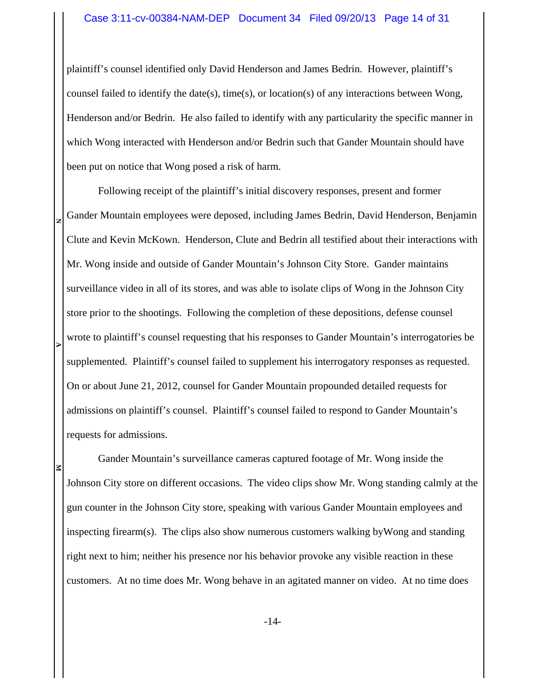plaintiff's counsel identified only David Henderson and James Bedrin. However, plaintiff's counsel failed to identify the date(s), time(s), or location(s) of any interactions between Wong, Henderson and/or Bedrin. He also failed to identify with any particularity the specific manner in which Wong interacted with Henderson and/or Bedrin such that Gander Mountain should have been put on notice that Wong posed a risk of harm.

**NEXECUTE 2** Following receipt of the plaintiff's initial discovery responses, present and former Gander Mountain employees were deposed, including James Bedrin, David Henderson, Benjamin Clute and Kevin McKown. Henderson, Clute and Bedrin all testified about their interactions with Mr. Wong inside and outside of Gander Mountain's Johnson City Store. Gander maintains surveillance video in all of its stores, and was able to isolate clips of Wong in the Johnson City store prior to the shootings. Following the completion of these depositions, defense counsel wrote to plaintiff's counsel requesting that his responses to Gander Mountain's interrogatories be supplemented. Plaintiff's counsel failed to supplement his interrogatory responses as requested. On or about June 21, 2012, counsel for Gander Mountain propounded detailed requests for admissions on plaintiff's counsel. Plaintiff's counsel failed to respond to Gander Mountain's requests for admissions.

Gander Mountain's surveillance cameras captured footage of Mr. Wong inside the Johnson City store on different occasions. The video clips show Mr. Wong standing calmly at the gun counter in the Johnson City store, speaking with various Gander Mountain employees and inspecting firearm(s). The clips also show numerous customers walking byWong and standing right next to him; neither his presence nor his behavior provoke any visible reaction in these customers. At no time does Mr. Wong behave in an agitated manner on video. At no time does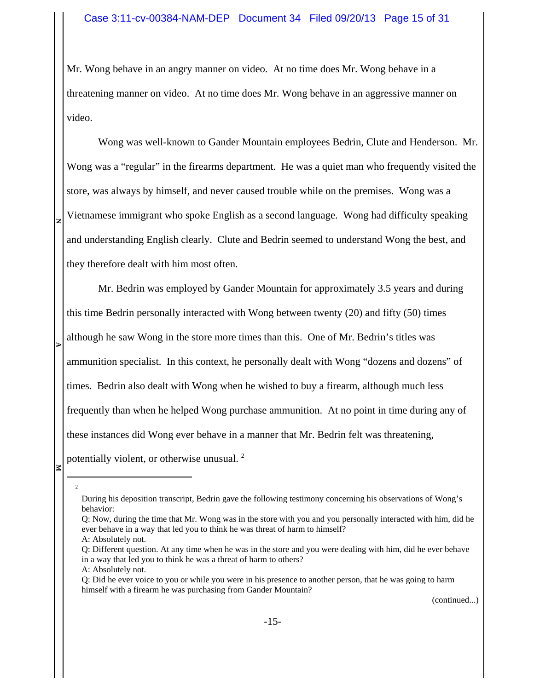Mr. Wong behave in an angry manner on video. At no time does Mr. Wong behave in a threatening manner on video. At no time does Mr. Wong behave in an aggressive manner on video.

Wong was well-known to Gander Mountain employees Bedrin, Clute and Henderson. Mr. Wong was a "regular" in the firearms department. He was a quiet man who frequently visited the store, was always by himself, and never caused trouble while on the premises. Wong was a Vietnamese immigrant who spoke English as a second language. Wong had difficulty speaking and understanding English clearly. Clute and Bedrin seemed to understand Wong the best, and they therefore dealt with him most often.

Mr. Bedrin was employed by Gander Mountain for approximately 3.5 years and during this time Bedrin personally interacted with Wong between twenty (20) and fifty (50) times although he saw Wong in the store more times than this. One of Mr. Bedrin's titles was ammunition specialist. In this context, he personally dealt with Wong "dozens and dozens" of times. Bedrin also dealt with Wong when he wished to buy a firearm, although much less frequently than when he helped Wong purchase ammunition. At no point in time during any of these instances did Wong ever behave in a manner that Mr. Bedrin felt was threatening, potentially violent, or otherwise unusual.<sup>2</sup>

2

**EXECUTE 2** 

**N**

A: Absolutely not.

(continued...)

During his deposition transcript, Bedrin gave the following testimony concerning his observations of Wong's behavior:

Q: Now, during the time that Mr. Wong was in the store with you and you personally interacted with him, did he ever behave in a way that led you to think he was threat of harm to himself?

A: Absolutely not.

Q: Different question. At any time when he was in the store and you were dealing with him, did he ever behave in a way that led you to think he was a threat of harm to others?

Q: Did he ever voice to you or while you were in his presence to another person, that he was going to harm himself with a firearm he was purchasing from Gander Mountain?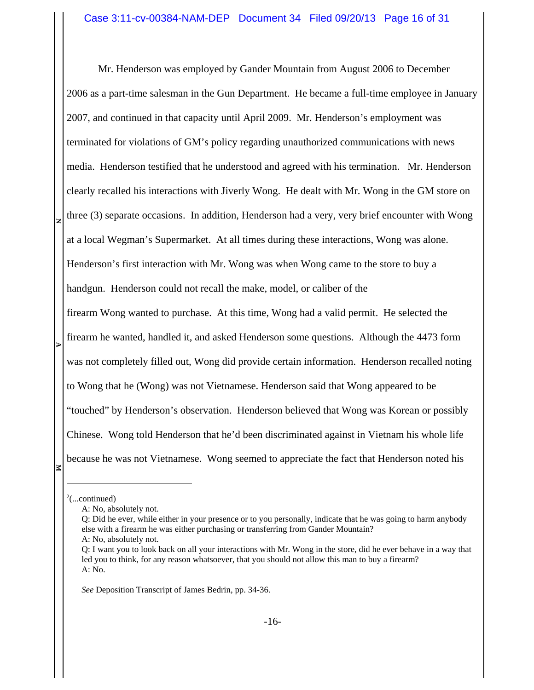**NEXECUTE 2** Mr. Henderson was employed by Gander Mountain from August 2006 to December 2006 as a part-time salesman in the Gun Department. He became a full-time employee in January 2007, and continued in that capacity until April 2009. Mr. Henderson's employment was terminated for violations of GM's policy regarding unauthorized communications with news media. Henderson testified that he understood and agreed with his termination. Mr. Henderson clearly recalled his interactions with Jiverly Wong. He dealt with Mr. Wong in the GM store on three (3) separate occasions. In addition, Henderson had a very, very brief encounter with Wong at a local Wegman's Supermarket. At all times during these interactions, Wong was alone. Henderson's first interaction with Mr. Wong was when Wong came to the store to buy a handgun. Henderson could not recall the make, model, or caliber of the firearm Wong wanted to purchase. At this time, Wong had a valid permit. He selected the firearm he wanted, handled it, and asked Henderson some questions. Although the 4473 form was not completely filled out, Wong did provide certain information. Henderson recalled noting to Wong that he (Wong) was not Vietnamese. Henderson said that Wong appeared to be "touched" by Henderson's observation. Henderson believed that Wong was Korean or possibly Chinese. Wong told Henderson that he'd been discriminated against in Vietnam his whole life because he was not Vietnamese. Wong seemed to appreciate the fact that Henderson noted his

*See* Deposition Transcript of James Bedrin, pp. 34-36.

 $2$ (...continued)

A: No, absolutely not.

Q: Did he ever, while either in your presence or to you personally, indicate that he was going to harm anybody else with a firearm he was either purchasing or transferring from Gander Mountain? A: No, absolutely not.

Q: I want you to look back on all your interactions with Mr. Wong in the store, did he ever behave in a way that led you to think, for any reason whatsoever, that you should not allow this man to buy a firearm? A: No.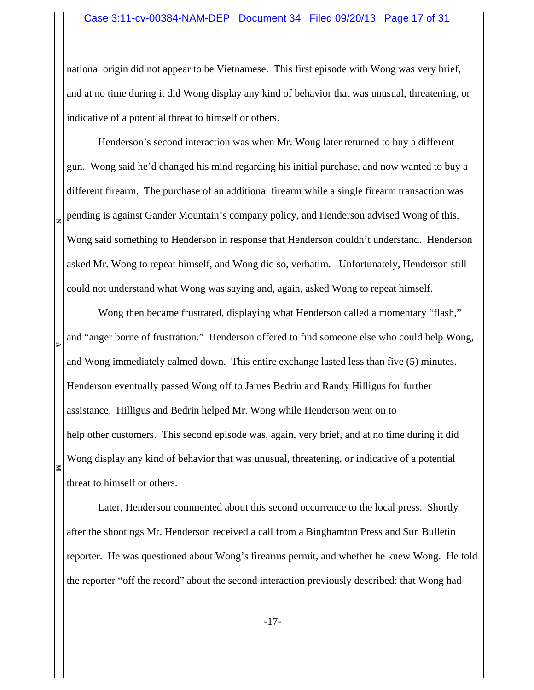### Case 3:11-cv-00384-NAM-DEP Document 34 Filed 09/20/13 Page 17 of 31

national origin did not appear to be Vietnamese. This first episode with Wong was very brief, and at no time during it did Wong display any kind of behavior that was unusual, threatening, or indicative of a potential threat to himself or others.

Henderson's second interaction was when Mr. Wong later returned to buy a different gun. Wong said he'd changed his mind regarding his initial purchase, and now wanted to buy a different firearm. The purchase of an additional firearm while a single firearm transaction was pending is against Gander Mountain's company policy, and Henderson advised Wong of this. Wong said something to Henderson in response that Henderson couldn't understand. Henderson asked Mr. Wong to repeat himself, and Wong did so, verbatim. Unfortunately, Henderson still could not understand what Wong was saying and, again, asked Wong to repeat himself.

**N**

**EXECUTE 2** 

Wong then became frustrated, displaying what Henderson called a momentary "flash," and "anger borne of frustration." Henderson offered to find someone else who could help Wong, and Wong immediately calmed down. This entire exchange lasted less than five (5) minutes. Henderson eventually passed Wong off to James Bedrin and Randy Hilligus for further assistance. Hilligus and Bedrin helped Mr. Wong while Henderson went on to help other customers. This second episode was, again, very brief, and at no time during it did Wong display any kind of behavior that was unusual, threatening, or indicative of a potential threat to himself or others.

Later, Henderson commented about this second occurrence to the local press. Shortly after the shootings Mr. Henderson received a call from a Binghamton Press and Sun Bulletin reporter. He was questioned about Wong's firearms permit, and whether he knew Wong. He told the reporter "off the record" about the second interaction previously described: that Wong had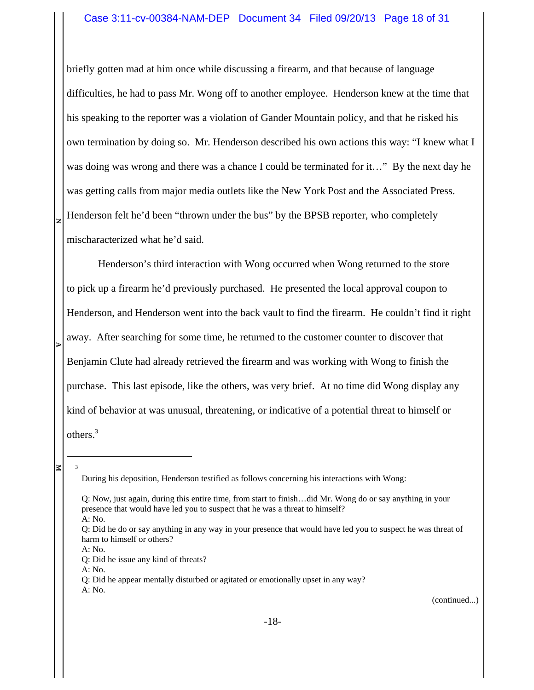### Case 3:11-cv-00384-NAM-DEP Document 34 Filed 09/20/13 Page 18 of 31

briefly gotten mad at him once while discussing a firearm, and that because of language difficulties, he had to pass Mr. Wong off to another employee. Henderson knew at the time that his speaking to the reporter was a violation of Gander Mountain policy, and that he risked his own termination by doing so. Mr. Henderson described his own actions this way: "I knew what I was doing was wrong and there was a chance I could be terminated for it…" By the next day he was getting calls from major media outlets like the New York Post and the Associated Press. Henderson felt he'd been "thrown under the bus" by the BPSB reporter, who completely mischaracterized what he'd said.

Henderson's third interaction with Wong occurred when Wong returned to the store to pick up a firearm he'd previously purchased. He presented the local approval coupon to Henderson, and Henderson went into the back vault to find the firearm. He couldn't find it right away. After searching for some time, he returned to the customer counter to discover that Benjamin Clute had already retrieved the firearm and was working with Wong to finish the purchase. This last episode, like the others, was very brief. At no time did Wong display any kind of behavior at was unusual, threatening, or indicative of a potential threat to himself or others. 3

**EXECUTE 2** ₹

3

**N**

(continued...)

During his deposition, Henderson testified as follows concerning his interactions with Wong:

Q: Now, just again, during this entire time, from start to finish…did Mr. Wong do or say anything in your presence that would have led you to suspect that he was a threat to himself? A: No.

Q: Did he do or say anything in any way in your presence that would have led you to suspect he was threat of harm to himself or others?

A: No.

Q: Did he issue any kind of threats?

A: No.

Q: Did he appear mentally disturbed or agitated or emotionally upset in any way? A: No.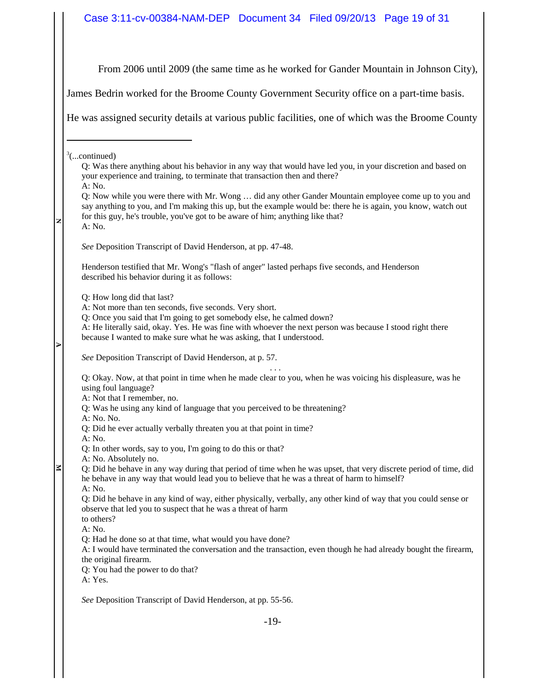## Case 3:11-cv-00384-NAM-DEP Document 34 Filed 09/20/13 Page 19 of 31

From 2006 until 2009 (the same time as he worked for Gander Mountain in Johnson City),

James Bedrin worked for the Broome County Government Security office on a part-time basis.

He was assigned security details at various public facilities, one of which was the Broome County

 $3$ (...continued)

**N**

**EXECUTE 2** 

| Q: Was there anything about his behavior in any way that would have led you, in your discretion and based on |
|--------------------------------------------------------------------------------------------------------------|
| your experience and training, to terminate that transaction then and there?                                  |
| A: No.                                                                                                       |
|                                                                                                              |

Q: Now while you were there with Mr. Wong … did any other Gander Mountain employee come up to you and say anything to you, and I'm making this up, but the example would be: there he is again, you know, watch out for this guy, he's trouble, you've got to be aware of him; anything like that? A: No.

*See* Deposition Transcript of David Henderson, at pp. 47-48.

Henderson testified that Mr. Wong's "flash of anger" lasted perhaps five seconds, and Henderson described his behavior during it as follows:

Q: How long did that last?

Q: Once you said that I'm going to get somebody else, he calmed down?

A: He literally said, okay. Yes. He was fine with whoever the next person was because I stood right there because I wanted to make sure what he was asking, that I understood.

*See* Deposition Transcript of David Henderson, at p. 57.

. . . Q: Okay. Now, at that point in time when he made clear to you, when he was voicing his displeasure, was he using foul language?

A: Not that I remember, no.

- Q: Was he using any kind of language that you perceived to be threatening?
- A: No. No.
- Q: Did he ever actually verbally threaten you at that point in time?
- A: No.
- Q: In other words, say to you, I'm going to do this or that?
- A: No. Absolutely no.

Q: Did he behave in any way during that period of time when he was upset, that very discrete period of time, did he behave in any way that would lead you to believe that he was a threat of harm to himself? A: No.

Q: Did he behave in any kind of way, either physically, verbally, any other kind of way that you could sense or observe that led you to suspect that he was a threat of harm

to others?

A: No.

Q: Had he done so at that time, what would you have done?

A: I would have terminated the conversation and the transaction, even though he had already bought the firearm, the original firearm.

Q: You had the power to do that?

A: Yes.

*See* Deposition Transcript of David Henderson, at pp. 55-56.

A: Not more than ten seconds, five seconds. Very short.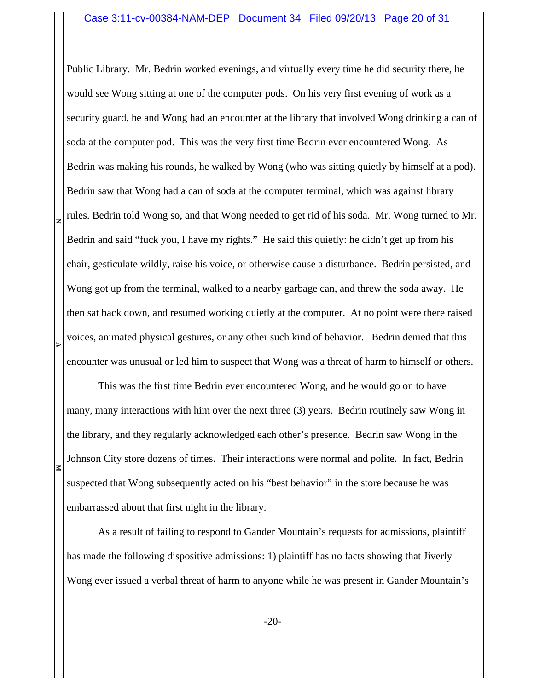Public Library. Mr. Bedrin worked evenings, and virtually every time he did security there, he would see Wong sitting at one of the computer pods. On his very first evening of work as a security guard, he and Wong had an encounter at the library that involved Wong drinking a can of soda at the computer pod. This was the very first time Bedrin ever encountered Wong. As Bedrin was making his rounds, he walked by Wong (who was sitting quietly by himself at a pod). Bedrin saw that Wong had a can of soda at the computer terminal, which was against library rules. Bedrin told Wong so, and that Wong needed to get rid of his soda. Mr. Wong turned to Mr. Bedrin and said "fuck you, I have my rights." He said this quietly: he didn't get up from his chair, gesticulate wildly, raise his voice, or otherwise cause a disturbance. Bedrin persisted, and Wong got up from the terminal, walked to a nearby garbage can, and threw the soda away. He then sat back down, and resumed working quietly at the computer. At no point were there raised voices, animated physical gestures, or any other such kind of behavior. Bedrin denied that this encounter was unusual or led him to suspect that Wong was a threat of harm to himself or others.

**N**

**EXECUTE 2** 

This was the first time Bedrin ever encountered Wong, and he would go on to have many, many interactions with him over the next three (3) years. Bedrin routinely saw Wong in the library, and they regularly acknowledged each other's presence. Bedrin saw Wong in the Johnson City store dozens of times. Their interactions were normal and polite. In fact, Bedrin suspected that Wong subsequently acted on his "best behavior" in the store because he was embarrassed about that first night in the library.

As a result of failing to respond to Gander Mountain's requests for admissions, plaintiff has made the following dispositive admissions: 1) plaintiff has no facts showing that Jiverly Wong ever issued a verbal threat of harm to anyone while he was present in Gander Mountain's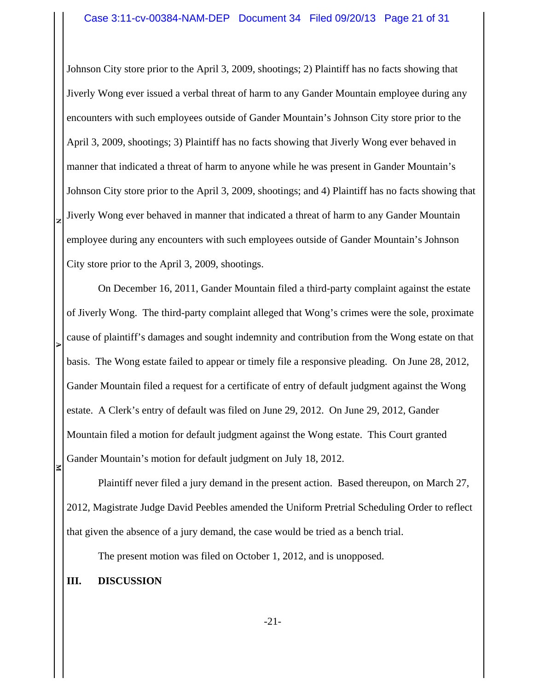Johnson City store prior to the April 3, 2009, shootings; 2) Plaintiff has no facts showing that Jiverly Wong ever issued a verbal threat of harm to any Gander Mountain employee during any encounters with such employees outside of Gander Mountain's Johnson City store prior to the April 3, 2009, shootings; 3) Plaintiff has no facts showing that Jiverly Wong ever behaved in manner that indicated a threat of harm to anyone while he was present in Gander Mountain's Johnson City store prior to the April 3, 2009, shootings; and 4) Plaintiff has no facts showing that Jiverly Wong ever behaved in manner that indicated a threat of harm to any Gander Mountain employee during any encounters with such employees outside of Gander Mountain's Johnson City store prior to the April 3, 2009, shootings.

On December 16, 2011, Gander Mountain filed a third-party complaint against the estate of Jiverly Wong. The third-party complaint alleged that Wong's crimes were the sole, proximate cause of plaintiff's damages and sought indemnity and contribution from the Wong estate on that basis. The Wong estate failed to appear or timely file a responsive pleading. On June 28, 2012, Gander Mountain filed a request for a certificate of entry of default judgment against the Wong estate. A Clerk's entry of default was filed on June 29, 2012. On June 29, 2012, Gander Mountain filed a motion for default judgment against the Wong estate. This Court granted Gander Mountain's motion for default judgment on July 18, 2012.

Plaintiff never filed a jury demand in the present action. Based thereupon, on March 27, 2012, Magistrate Judge David Peebles amended the Uniform Pretrial Scheduling Order to reflect that given the absence of a jury demand, the case would be tried as a bench trial.

The present motion was filed on October 1, 2012, and is unopposed.

## **III. DISCUSSION**

**N**

**EXECUTE 2**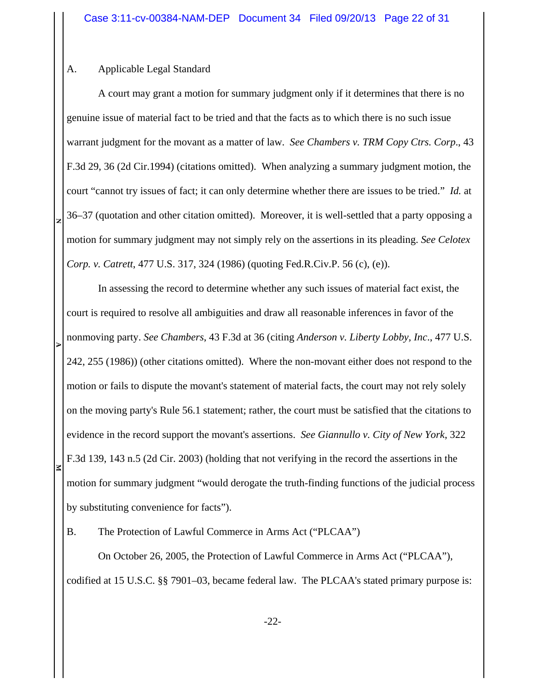# A. Applicable Legal Standard

**N**

A court may grant a motion for summary judgment only if it determines that there is no genuine issue of material fact to be tried and that the facts as to which there is no such issue warrant judgment for the movant as a matter of law. *See Chambers v. TRM Copy Ctrs. Corp*., 43 F.3d 29, 36 (2d Cir.1994) (citations omitted). When analyzing a summary judgment motion, the court "cannot try issues of fact; it can only determine whether there are issues to be tried." *Id.* at 36–37 (quotation and other citation omitted). Moreover, it is well-settled that a party opposing a motion for summary judgment may not simply rely on the assertions in its pleading. *See Celotex Corp. v. Catrett*, 477 U.S. 317, 324 (1986) (quoting Fed.R.Civ.P. 56 (c), (e)).

**EXECUTE 2** In assessing the record to determine whether any such issues of material fact exist, the court is required to resolve all ambiguities and draw all reasonable inferences in favor of the nonmoving party. *See Chambers*, 43 F.3d at 36 (citing *Anderson v. Liberty Lobby, Inc*., 477 U.S. 242, 255 (1986)) (other citations omitted). Where the non-movant either does not respond to the motion or fails to dispute the movant's statement of material facts, the court may not rely solely on the moving party's Rule 56.1 statement; rather, the court must be satisfied that the citations to evidence in the record support the movant's assertions. *See Giannullo v. City of New York*, 322 F.3d 139, 143 n.5 (2d Cir. 2003) (holding that not verifying in the record the assertions in the motion for summary judgment "would derogate the truth-finding functions of the judicial process by substituting convenience for facts").

B. The Protection of Lawful Commerce in Arms Act ("PLCAA")

On October 26, 2005, the Protection of Lawful Commerce in Arms Act ("PLCAA"), codified at 15 U.S.C. §§ 7901–03, became federal law. The PLCAA's stated primary purpose is: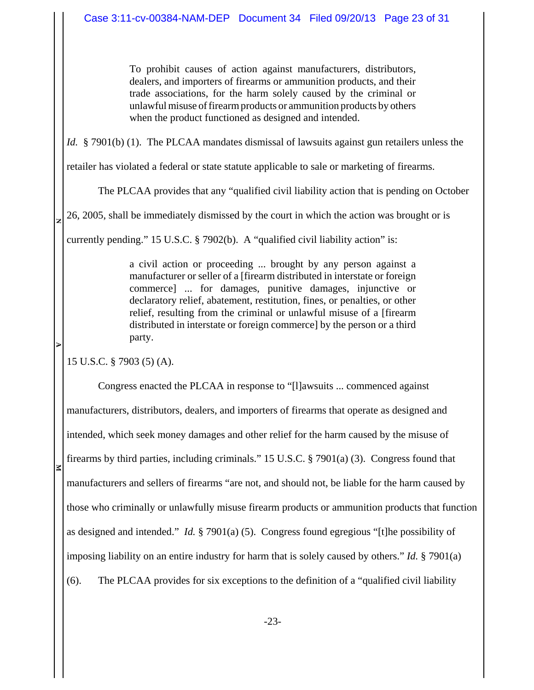To prohibit causes of action against manufacturers, distributors, dealers, and importers of firearms or ammunition products, and their trade associations, for the harm solely caused by the criminal or unlawful misuse of firearm products or ammunition products by others when the product functioned as designed and intended.

*Id.* § 7901(b) (1). The PLCAA mandates dismissal of lawsuits against gun retailers unless the

retailer has violated a federal or state statute applicable to sale or marketing of firearms.

The PLCAA provides that any "qualified civil liability action that is pending on October

**N**26, 2005, shall be immediately dismissed by the court in which the action was brought or is

currently pending." 15 U.S.C. § 7902(b). A "qualified civil liability action" is:

a civil action or proceeding ... brought by any person against a manufacturer or seller of a [firearm distributed in interstate or foreign commerce] ... for damages, punitive damages, injunctive or declaratory relief, abatement, restitution, fines, or penalties, or other relief, resulting from the criminal or unlawful misuse of a [firearm distributed in interstate or foreign commerce] by the person or a third party.

15 U.S.C. § 7903 (5) (A).

**EXECUTE 2** 

Congress enacted the PLCAA in response to "[l]awsuits ... commenced against manufacturers, distributors, dealers, and importers of firearms that operate as designed and intended, which seek money damages and other relief for the harm caused by the misuse of firearms by third parties, including criminals." 15 U.S.C. § 7901(a) (3). Congress found that manufacturers and sellers of firearms "are not, and should not, be liable for the harm caused by those who criminally or unlawfully misuse firearm products or ammunition products that function as designed and intended." *Id.* § 7901(a) (5). Congress found egregious "[t]he possibility of imposing liability on an entire industry for harm that is solely caused by others." *Id.* § 7901(a) (6). The PLCAA provides for six exceptions to the definition of a "qualified civil liability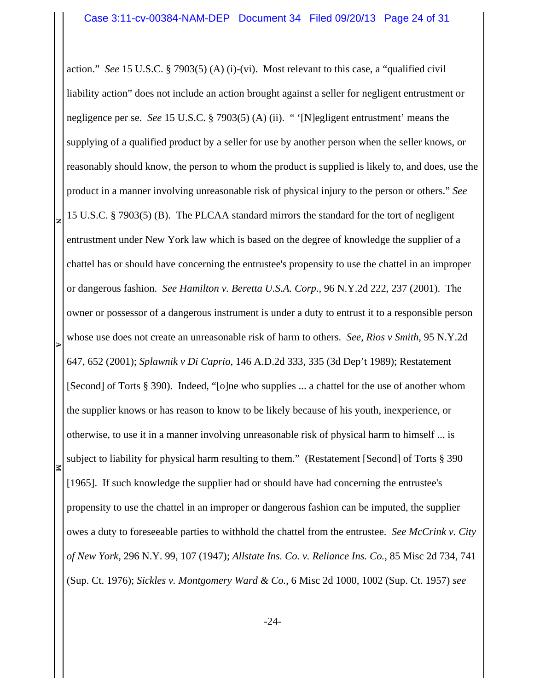**NEXECUTE 2** action." *See* 15 U.S.C. § 7903(5) (A) (i)-(vi). Most relevant to this case, a "qualified civil liability action" does not include an action brought against a seller for negligent entrustment or negligence per se. *See* 15 U.S.C. § 7903(5) (A) (ii). " '[N]egligent entrustment' means the supplying of a qualified product by a seller for use by another person when the seller knows, or reasonably should know, the person to whom the product is supplied is likely to, and does, use the product in a manner involving unreasonable risk of physical injury to the person or others." *See* 15 U.S.C. § 7903(5) (B). The PLCAA standard mirrors the standard for the tort of negligent entrustment under New York law which is based on the degree of knowledge the supplier of a chattel has or should have concerning the entrustee's propensity to use the chattel in an improper or dangerous fashion. *See Hamilton v. Beretta U.S.A. Corp*., 96 N.Y.2d 222, 237 (2001). The owner or possessor of a dangerous instrument is under a duty to entrust it to a responsible person whose use does not create an unreasonable risk of harm to others. *See*, *Rios v Smith*, 95 N.Y.2d 647, 652 (2001); *Splawnik v Di Caprio*, 146 A.D.2d 333, 335 (3d Dep't 1989); Restatement [Second] of Torts § 390). Indeed, "[o]ne who supplies ... a chattel for the use of another whom the supplier knows or has reason to know to be likely because of his youth, inexperience, or otherwise, to use it in a manner involving unreasonable risk of physical harm to himself ... is subject to liability for physical harm resulting to them." (Restatement [Second] of Torts § 390 [1965]. If such knowledge the supplier had or should have had concerning the entrustee's propensity to use the chattel in an improper or dangerous fashion can be imputed, the supplier owes a duty to foreseeable parties to withhold the chattel from the entrustee. *See McCrink v. City of New York*, 296 N.Y. 99, 107 (1947); *Allstate Ins. Co. v. Reliance Ins. Co.*, 85 Misc 2d 734, 741 (Sup. Ct. 1976); *Sickles v. Montgomery Ward & Co.*, 6 Misc 2d 1000, 1002 (Sup. Ct. 1957) *see*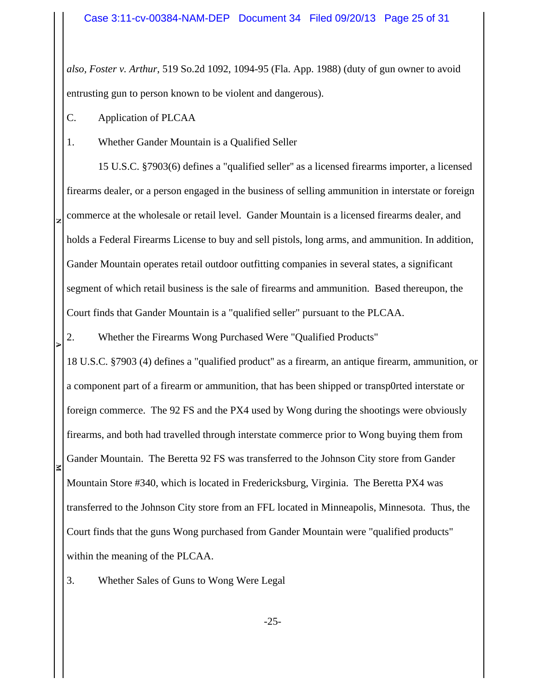*also, Foster v. Arthur*, 519 So.2d 1092, 1094-95 (Fla. App. 1988) (duty of gun owner to avoid entrusting gun to person known to be violent and dangerous).

C. Application of PLCAA

**N**

**EXECUTE 2** 

1. Whether Gander Mountain is a Qualified Seller

15 U.S.C. §7903(6) defines a "qualified seller'' as a licensed firearms importer, a licensed firearms dealer, or a person engaged in the business of selling ammunition in interstate or foreign commerce at the wholesale or retail level. Gander Mountain is a licensed firearms dealer, and holds a Federal Firearms License to buy and sell pistols, long arms, and ammunition. In addition, Gander Mountain operates retail outdoor outfitting companies in several states, a significant segment of which retail business is the sale of firearms and ammunition. Based thereupon, the Court finds that Gander Mountain is a "qualified seller" pursuant to the PLCAA.

2. Whether the Firearms Wong Purchased Were "Qualified Products"

18 U.S.C. §7903 (4) defines a "qualified product'' as a firearm, an antique firearm, ammunition, or a component part of a firearm or ammunition, that has been shipped or transp0rted interstate or foreign commerce. The 92 FS and the PX4 used by Wong during the shootings were obviously firearms, and both had travelled through interstate commerce prior to Wong buying them from Gander Mountain. The Beretta 92 FS was transferred to the Johnson City store from Gander Mountain Store #340, which is located in Fredericksburg, Virginia. The Beretta PX4 was transferred to the Johnson City store from an FFL located in Minneapolis, Minnesota. Thus, the Court finds that the guns Wong purchased from Gander Mountain were "qualified products" within the meaning of the PLCAA.

3. Whether Sales of Guns to Wong Were Legal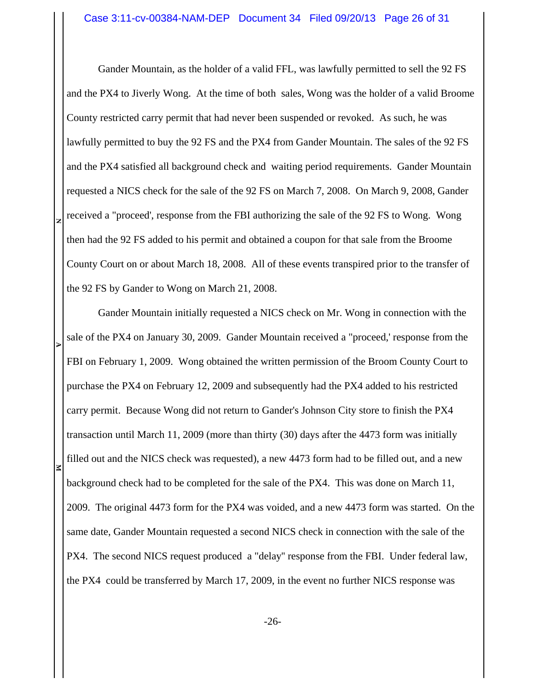Gander Mountain, as the holder of a valid FFL, was lawfully permitted to sell the 92 FS and the PX4 to Jiverly Wong. At the time of both sales, Wong was the holder of a valid Broome County restricted carry permit that had never been suspended or revoked. As such, he was lawfully permitted to buy the 92 FS and the PX4 from Gander Mountain. The sales of the 92 FS and the PX4 satisfied all background check and waiting period requirements. Gander Mountain requested a NICS check for the sale of the 92 FS on March 7, 2008. On March 9, 2008, Gander received a "proceed', response from the FBI authorizing the sale of the 92 FS to Wong. Wong then had the 92 FS added to his permit and obtained a coupon for that sale from the Broome County Court on or about March 18, 2008. All of these events transpired prior to the transfer of the 92 FS by Gander to Wong on March 21, 2008.

**N**

**EXECUTE 2** Gander Mountain initially requested a NICS check on Mr. Wong in connection with the sale of the PX4 on January 30, 2009. Gander Mountain received a "proceed,' response from the FBI on February 1, 2009. Wong obtained the written permission of the Broom County Court to purchase the PX4 on February 12, 2009 and subsequently had the PX4 added to his restricted carry permit. Because Wong did not return to Gander's Johnson City store to finish the PX4 transaction until March 11, 2009 (more than thirty (30) days after the 4473 form was initially filled out and the NICS check was requested), a new 4473 form had to be filled out, and a new background check had to be completed for the sale of the PX4. This was done on March 11, 2009. The original 4473 form for the PX4 was voided, and a new 4473 form was started. On the same date, Gander Mountain requested a second NICS check in connection with the sale of the PX4. The second NICS request produced a "delay'' response from the FBI. Under federal law, the PX4 could be transferred by March 17, 2009, in the event no further NICS response was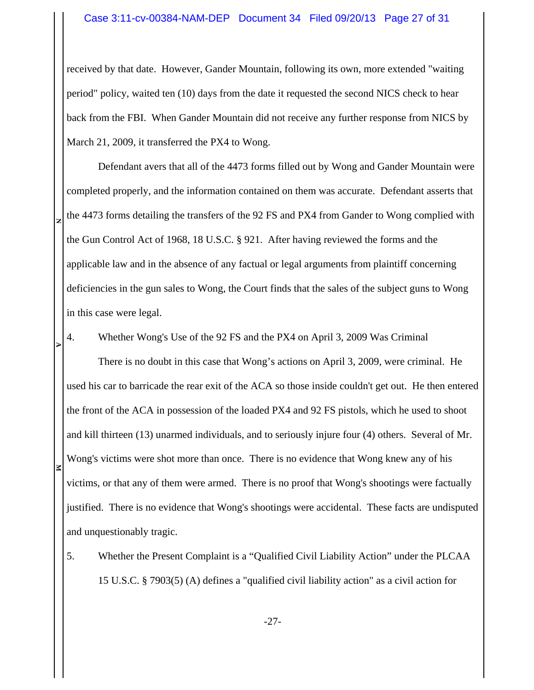### Case 3:11-cv-00384-NAM-DEP Document 34 Filed 09/20/13 Page 27 of 31

received by that date. However, Gander Mountain, following its own, more extended "waiting period" policy, waited ten (10) days from the date it requested the second NICS check to hear back from the FBI. When Gander Mountain did not receive any further response from NICS by March 21, 2009, it transferred the PX4 to Wong.

Defendant avers that all of the 4473 forms filled out by Wong and Gander Mountain were completed properly, and the information contained on them was accurate. Defendant asserts that the 4473 forms detailing the transfers of the 92 FS and PX4 from Gander to Wong complied with the Gun Control Act of 1968, 18 U.S.C. § 921. After having reviewed the forms and the applicable law and in the absence of any factual or legal arguments from plaintiff concerning deficiencies in the gun sales to Wong, the Court finds that the sales of the subject guns to Wong in this case were legal.

4. Whether Wong's Use of the 92 FS and the PX4 on April 3, 2009 Was Criminal

**N**

**EXECUTE 2** 

There is no doubt in this case that Wong's actions on April 3, 2009, were criminal. He used his car to barricade the rear exit of the ACA so those inside couldn't get out. He then entered the front of the ACA in possession of the loaded PX4 and 92 FS pistols, which he used to shoot and kill thirteen (13) unarmed individuals, and to seriously injure four (4) others. Several of Mr. Wong's victims were shot more than once. There is no evidence that Wong knew any of his victims, or that any of them were armed. There is no proof that Wong's shootings were factually justified. There is no evidence that Wong's shootings were accidental. These facts are undisputed and unquestionably tragic.

5. Whether the Present Complaint is a "Qualified Civil Liability Action" under the PLCAA 15 U.S.C. § 7903(5) (A) defines a "qualified civil liability action" as a civil action for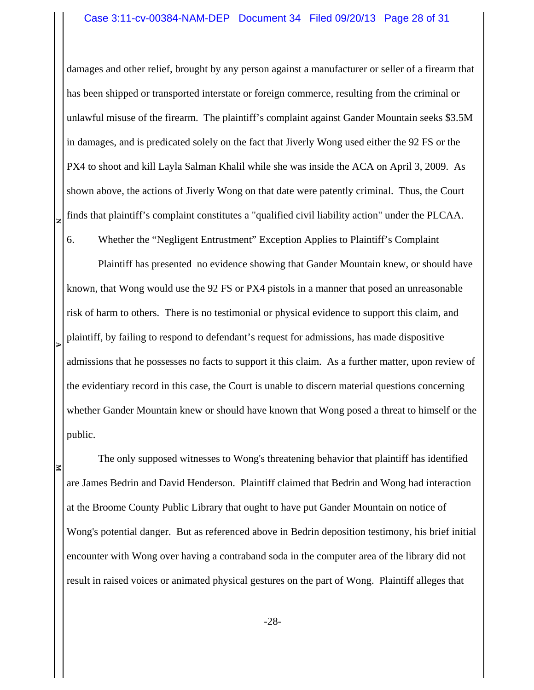### Case 3:11-cv-00384-NAM-DEP Document 34 Filed 09/20/13 Page 28 of 31

damages and other relief, brought by any person against a manufacturer or seller of a firearm that has been shipped or transported interstate or foreign commerce, resulting from the criminal or unlawful misuse of the firearm. The plaintiff's complaint against Gander Mountain seeks \$3.5M in damages, and is predicated solely on the fact that Jiverly Wong used either the 92 FS or the PX4 to shoot and kill Layla Salman Khalil while she was inside the ACA on April 3, 2009. As shown above, the actions of Jiverly Wong on that date were patently criminal. Thus, the Court finds that plaintiff's complaint constitutes a "qualified civil liability action" under the PLCAA.

6. Whether the "Negligent Entrustment" Exception Applies to Plaintiff's Complaint

**N**

**EXECUTE 2** 

Plaintiff has presented no evidence showing that Gander Mountain knew, or should have known, that Wong would use the 92 FS or PX4 pistols in a manner that posed an unreasonable risk of harm to others. There is no testimonial or physical evidence to support this claim, and plaintiff, by failing to respond to defendant's request for admissions, has made dispositive admissions that he possesses no facts to support it this claim. As a further matter, upon review of the evidentiary record in this case, the Court is unable to discern material questions concerning whether Gander Mountain knew or should have known that Wong posed a threat to himself or the public.

The only supposed witnesses to Wong's threatening behavior that plaintiff has identified are James Bedrin and David Henderson. Plaintiff claimed that Bedrin and Wong had interaction at the Broome County Public Library that ought to have put Gander Mountain on notice of Wong's potential danger. But as referenced above in Bedrin deposition testimony, his brief initial encounter with Wong over having a contraband soda in the computer area of the library did not result in raised voices or animated physical gestures on the part of Wong. Plaintiff alleges that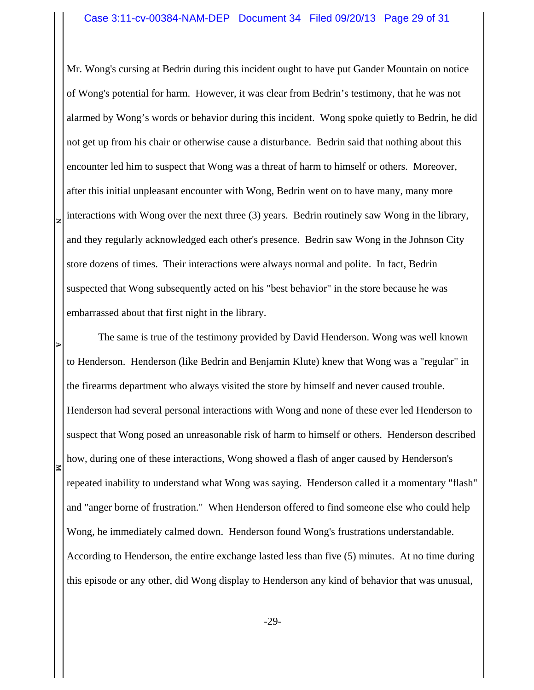Mr. Wong's cursing at Bedrin during this incident ought to have put Gander Mountain on notice of Wong's potential for harm. However, it was clear from Bedrin's testimony, that he was not alarmed by Wong's words or behavior during this incident. Wong spoke quietly to Bedrin, he did not get up from his chair or otherwise cause a disturbance. Bedrin said that nothing about this encounter led him to suspect that Wong was a threat of harm to himself or others. Moreover, after this initial unpleasant encounter with Wong, Bedrin went on to have many, many more interactions with Wong over the next three (3) years. Bedrin routinely saw Wong in the library, and they regularly acknowledged each other's presence. Bedrin saw Wong in the Johnson City store dozens of times. Their interactions were always normal and polite. In fact, Bedrin suspected that Wong subsequently acted on his "best behavior" in the store because he was embarrassed about that first night in the library.

**N**

**EXECUTE 2** 

The same is true of the testimony provided by David Henderson. Wong was well known to Henderson. Henderson (like Bedrin and Benjamin Klute) knew that Wong was a "regular" in the firearms department who always visited the store by himself and never caused trouble. Henderson had several personal interactions with Wong and none of these ever led Henderson to suspect that Wong posed an unreasonable risk of harm to himself or others. Henderson described how, during one of these interactions, Wong showed a flash of anger caused by Henderson's repeated inability to understand what Wong was saying. Henderson called it a momentary "flash" and "anger borne of frustration." When Henderson offered to find someone else who could help Wong, he immediately calmed down. Henderson found Wong's frustrations understandable. According to Henderson, the entire exchange lasted less than five (5) minutes. At no time during this episode or any other, did Wong display to Henderson any kind of behavior that was unusual,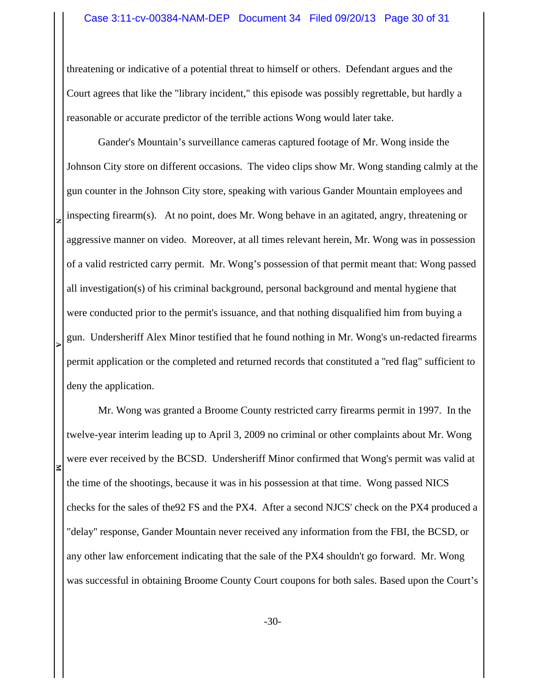threatening or indicative of a potential threat to himself or others. Defendant argues and the Court agrees that like the "library incident," this episode was possibly regrettable, but hardly a reasonable or accurate predictor of the terrible actions Wong would later take.

**EXECUTE 2** Gander's Mountain's surveillance cameras captured footage of Mr. Wong inside the Johnson City store on different occasions. The video clips show Mr. Wong standing calmly at the gun counter in the Johnson City store, speaking with various Gander Mountain employees and inspecting firearm(s). At no point, does Mr. Wong behave in an agitated, angry, threatening or aggressive manner on video. Moreover, at all times relevant herein, Mr. Wong was in possession of a valid restricted carry permit. Mr. Wong's possession of that permit meant that: Wong passed all investigation(s) of his criminal background, personal background and mental hygiene that were conducted prior to the permit's issuance, and that nothing disqualified him from buying a gun. Undersheriff Alex Minor testified that he found nothing in Mr. Wong's un-redacted firearms permit application or the completed and returned records that constituted a ''red flag" sufficient to deny the application.

**N**

R

Mr. Wong was granted a Broome County restricted carry firearms permit in 1997. In the twelve-year interim leading up to April 3, 2009 no criminal or other complaints about Mr. Wong were ever received by the BCSD. Undersheriff Minor confirmed that Wong's permit was valid at the time of the shootings, because it was in his possession at that time. Wong passed NICS checks for the sales of the92 FS and the PX4. After a second NJCS' check on the PX4 produced a "delay'' response, Gander Mountain never received any information from the FBI, the BCSD, or any other law enforcement indicating that the sale of the PX4 shouldn't go forward. Mr. Wong was successful in obtaining Broome County Court coupons for both sales. Based upon the Court's